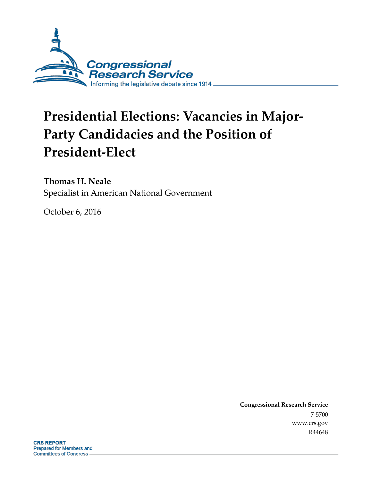

# **Presidential Elections: Vacancies in Major-Party Candidacies and the Position of President-Elect**

**Thomas H. Neale**

Specialist in American National Government

October 6, 2016

**Congressional Research Service** 7-5700 www.crs.gov R44648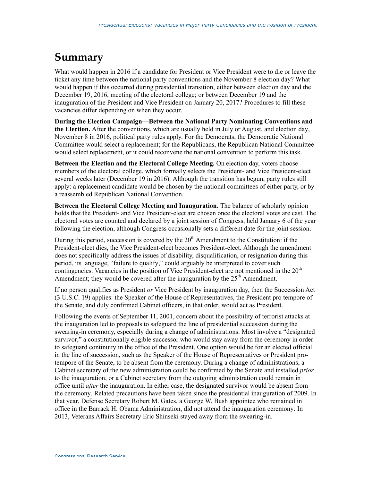### **Summary**

What would happen in 2016 if a candidate for President or Vice President were to die or leave the ticket any time between the national party conventions and the November 8 election day? What would happen if this occurred during presidential transition, either between election day and the December 19, 2016, meeting of the electoral college; or between December 19 and the inauguration of the President and Vice President on January 20, 2017? Procedures to fill these vacancies differ depending on when they occur.

**During the Election Campaign—Between the National Party Nominating Conventions and the Election.** After the conventions, which are usually held in July or August, and election day, November 8 in 2016, political party rules apply. For the Democrats, the Democratic National Committee would select a replacement; for the Republicans, the Republican National Committee would select replacement, or it could reconvene the national convention to perform this task.

**Between the Election and the Electoral College Meeting.** On election day, voters choose members of the electoral college, which formally selects the President- and Vice President-elect several weeks later (December 19 in 2016). Although the transition has begun, party rules still apply: a replacement candidate would be chosen by the national committees of either party, or by a reassembled Republican National Convention.

**Between the Electoral College Meeting and Inauguration.** The balance of scholarly opinion holds that the President- and Vice President-elect are chosen once the electoral votes are cast. The electoral votes are counted and declared by a joint session of Congress, held January 6 of the year following the election, although Congress occasionally sets a different date for the joint session.

During this period, succession is covered by the  $20<sup>th</sup>$  Amendment to the Constitution: if the President-elect dies, the Vice President-elect becomes President-elect. Although the amendment does not specifically address the issues of disability, disqualification, or resignation during this period, its language, "failure to qualify," could arguably be interpreted to cover such contingencies. Vacancies in the position of Vice President-elect are not mentioned in the 20<sup>th</sup> Amendment; they would be covered after the inauguration by the  $25<sup>th</sup>$  Amendment.

If no person qualifies as President *or* Vice President by inauguration day, then the Succession Act (3 U.S.C. 19) applies: the Speaker of the House of Representatives, the President pro tempore of the Senate, and duly confirmed Cabinet officers, in that order, would act as President.

Following the events of September 11, 2001, concern about the possibility of terrorist attacks at the inauguration led to proposals to safeguard the line of presidential succession during the swearing-in ceremony, especially during a change of administrations. Most involve a "designated survivor," a constitutionally eligible successor who would stay away from the ceremony in order to safeguard continuity in the office of the President. One option would be for an elected official in the line of succession, such as the Speaker of the House of Representatives or President protempore of the Senate, to be absent from the ceremony. During a change of administrations, a Cabinet secretary of the new administration could be confirmed by the Senate and installed *prior* to the inauguration, or a Cabinet secretary from the outgoing administration could remain in office until *after* the inauguration. In either case, the designated survivor would be absent from the ceremony. Related precautions have been taken since the presidential inauguration of 2009. In that year, Defense Secretary Robert M. Gates, a George W. Bush appointee who remained in office in the Barrack H. Obama Administration, did not attend the inauguration ceremony. In 2013, Veterans Affairs Secretary Eric Shinseki stayed away from the swearing-in.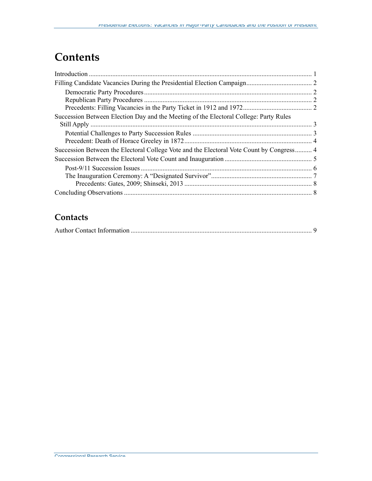### **Contents**

| Succession Between Election Day and the Meeting of the Electoral College: Party Rules    |  |
|------------------------------------------------------------------------------------------|--|
|                                                                                          |  |
|                                                                                          |  |
|                                                                                          |  |
| Succession Between the Electoral College Vote and the Electoral Vote Count by Congress 4 |  |
|                                                                                          |  |
|                                                                                          |  |
|                                                                                          |  |
|                                                                                          |  |
|                                                                                          |  |

#### **Contacts**

|--|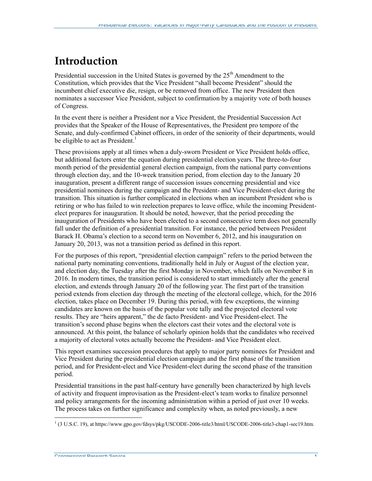### **Introduction**

Presidential succession in the United States is governed by the  $25<sup>th</sup>$  Amendment to the Constitution, which provides that the Vice President "shall become President" should the incumbent chief executive die, resign, or be removed from office. The new President then nominates a successor Vice President, subject to confirmation by a majority vote of both houses of Congress.

In the event there is neither a President nor a Vice President, the Presidential Succession Act provides that the Speaker of the House of Representatives, the President pro tempore of the Senate, and duly-confirmed Cabinet officers, in order of the seniority of their departments, would be eligible to act as President.<sup>1</sup>

These provisions apply at all times when a duly-sworn President or Vice President holds office, but additional factors enter the equation during presidential election years. The three-to-four month period of the presidential general election campaign, from the national party conventions through election day, and the 10-week transition period, from election day to the January 20 inauguration, present a different range of succession issues concerning presidential and vice presidential nominees during the campaign and the President- and Vice President-elect during the transition. This situation is further complicated in elections when an incumbent President who is retiring or who has failed to win reelection prepares to leave office, while the incoming Presidentelect prepares for inauguration. It should be noted, however, that the period preceding the inauguration of Presidents who have been elected to a second consecutive term does not generally fall under the definition of a presidential transition. For instance, the period between President Barack H. Obama's election to a second term on November 6, 2012, and his inauguration on January 20, 2013, was not a transition period as defined in this report.

For the purposes of this report, "presidential election campaign" refers to the period between the national party nominating conventions, traditionally held in July or August of the election year, and election day, the Tuesday after the first Monday in November, which falls on November 8 in 2016. In modern times, the transition period is considered to start immediately after the general election, and extends through January 20 of the following year. The first part of the transition period extends from election day through the meeting of the electoral college, which, for the 2016 election, takes place on December 19. During this period, with few exceptions, the winning candidates are known on the basis of the popular vote tally and the projected electoral vote results. They are "heirs apparent," the de facto President- and Vice President-elect. The transition's second phase begins when the electors cast their votes and the electoral vote is announced. At this point, the balance of scholarly opinion holds that the candidates who received a majority of electoral votes actually become the President- and Vice President elect.

This report examines succession procedures that apply to major party nominees for President and Vice President during the presidential election campaign and the first phase of the transition period, and for President-elect and Vice President-elect during the second phase of the transition period.

Presidential transitions in the past half-century have generally been characterized by high levels of activity and frequent improvisation as the President-elect's team works to finalize personnel and policy arrangements for the incoming administration within a period of just over 10 weeks. The process takes on further significance and complexity when, as noted previously, a new

<sup>&</sup>lt;sup>1</sup> (3 U.S.C. 19), at https://www.gpo.gov/fdsys/pkg/USCODE-2006-title3/html/USCODE-2006-title3-chap1-sec19.htm.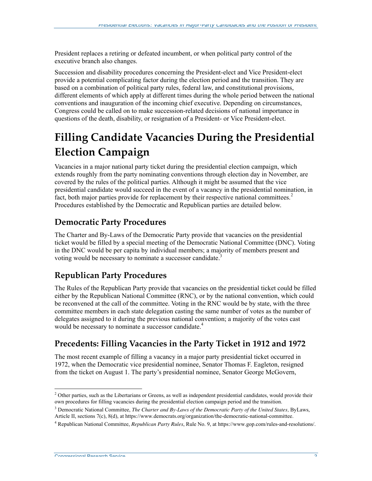President replaces a retiring or defeated incumbent, or when political party control of the executive branch also changes.

Succession and disability procedures concerning the President-elect and Vice President-elect provide a potential complicating factor during the election period and the transition. They are based on a combination of political party rules, federal law, and constitutional provisions, different elements of which apply at different times during the whole period between the national conventions and inauguration of the incoming chief executive. Depending on circumstances, Congress could be called on to make succession-related decisions of national importance in questions of the death, disability, or resignation of a President- or Vice President-elect.

## **Filling Candidate Vacancies During the Presidential Election Campaign**

Vacancies in a major national party ticket during the presidential election campaign, which extends roughly from the party nominating conventions through election day in November, are covered by the rules of the political parties. Although it might be assumed that the vice presidential candidate would succeed in the event of a vacancy in the presidential nomination, in fact, both major parties provide for replacement by their respective national committees.<sup>2</sup> Procedures established by the Democratic and Republican parties are detailed below.

#### **Democratic Party Procedures**

The Charter and By-Laws of the Democratic Party provide that vacancies on the presidential ticket would be filled by a special meeting of the Democratic National Committee (DNC). Voting in the DNC would be per capita by individual members; a majority of members present and voting would be necessary to nominate a successor candidate.<sup>3</sup>

#### **Republican Party Procedures**

The Rules of the Republican Party provide that vacancies on the presidential ticket could be filled either by the Republican National Committee (RNC), or by the national convention, which could be reconvened at the call of the committee. Voting in the RNC would be by state, with the three committee members in each state delegation casting the same number of votes as the number of delegates assigned to it during the previous national convention; a majority of the votes cast would be necessary to nominate a successor candidate.<sup>4</sup>

### **Precedents: Filling Vacancies in the Party Ticket in 1912 and 1972**

The most recent example of filling a vacancy in a major party presidential ticket occurred in 1972, when the Democratic vice presidential nominee, Senator Thomas F. Eagleton, resigned from the ticket on August 1. The party's presidential nominee, Senator George McGovern,

Congressional Research Service 2

 $2$  Other parties, such as the Libertarians or Greens, as well as independent presidential candidates, would provide their own procedures for filling vacancies during the presidential election campaign period and the transition.

<sup>&</sup>lt;sup>3</sup> Democratic National Committee, *The Charter and By-Laws of the Democratic Party of the United States, ByLaws,* Article II, sections 7(c), 8(d), at https://www.democrats.org/organization/the-democratic-national-committee.

<sup>4</sup> Republican National Committee, *Republican Party Rules*, Rule No. 9, at https://www.gop.com/rules-and-resolutions/.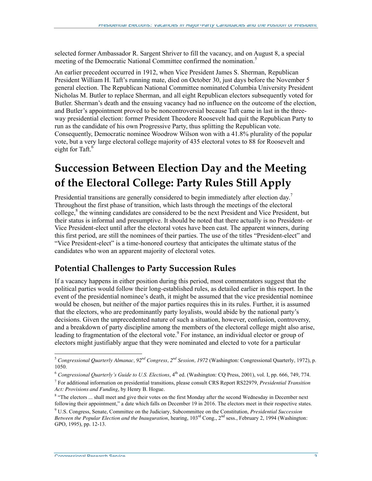selected former Ambassador R. Sargent Shriver to fill the vacancy, and on August 8, a special meeting of the Democratic National Committee confirmed the nomination.<sup>5</sup>

An earlier precedent occurred in 1912, when Vice President James S. Sherman, Republican President William H. Taft's running mate, died on October 30, just days before the November 5 general election. The Republican National Committee nominated Columbia University President Nicholas M. Butler to replace Sherman, and all eight Republican electors subsequently voted for Butler. Sherman's death and the ensuing vacancy had no influence on the outcome of the election, and Butler's appointment proved to be noncontroversial because Taft came in last in the threeway presidential election: former President Theodore Roosevelt had quit the Republican Party to run as the candidate of his own Progressive Party, thus splitting the Republican vote. Consequently, Democratic nominee Woodrow Wilson won with a 41.8% plurality of the popular vote, but a very large electoral college majority of 435 electoral votes to 88 for Roosevelt and eight for Taft.<sup>6</sup>

### **Succession Between Election Day and the Meeting of the Electoral College: Party Rules Still Apply**

Presidential transitions are generally considered to begin immediately after election day.<sup>7</sup> Throughout the first phase of transition, which lasts through the meetings of the electoral college,<sup>8</sup> the winning candidates are considered to be the next President and Vice President, but their status is informal and presumptive. It should be noted that there actually is no President- or Vice President-elect until after the electoral votes have been cast. The apparent winners, during this first period, are still the nominees of their parties. The use of the titles "President-elect" and "Vice President-elect" is a time-honored courtesy that anticipates the ultimate status of the candidates who won an apparent majority of electoral votes.

#### **Potential Challenges to Party Succession Rules**

If a vacancy happens in either position during this period, most commentators suggest that the political parties would follow their long-established rules, as detailed earlier in this report. In the event of the presidential nominee's death, it might be assumed that the vice presidential nominee would be chosen, but neither of the major parties requires this in its rules. Further, it is assumed that the electors, who are predominantly party loyalists, would abide by the national party's decisions. Given the unprecedented nature of such a situation, however, confusion, controversy, and a breakdown of party discipline among the members of the electoral college might also arise, leading to fragmentation of the electoral vote.<sup>9</sup> For instance, an individual elector or group of electors might justifiably argue that they were nominated and elected to vote for a particular

 <sup>5</sup> *Congressional Quarterly Almanac, 92nd Congress, 2nd Session, 1972* (Washington: Congressional Quarterly, 1972), p. 1050.

<sup>&</sup>lt;sup>6</sup> *Congressional Quarterly's Guide to U.S. Elections*, 4<sup>th</sup> ed. (Washington: CQ Press, 2001), vol. I, pp. 666, 749, 774.

<sup>7</sup> For additional information on presidential transitions, please consult CRS Report RS22979, *Presidential Transition Act: Provisions and Funding*, by Henry B. Hogue.

<sup>&</sup>lt;sup>8</sup> "The electors ... shall meet and give their votes on the first Monday after the second Wednesday in December next following their appointment," a date which falls on December 19 in 2016. The electors meet in their respective states.

<sup>9</sup> U.S. Congress, Senate, Committee on the Judiciary, Subcommittee on the Constitution, *Presidential Succession Between the Popular Election and the Inauguration*, hearing, 103rd Cong., 2nd sess., February 2, 1994 (Washington: GPO, 1995), pp. 12-13.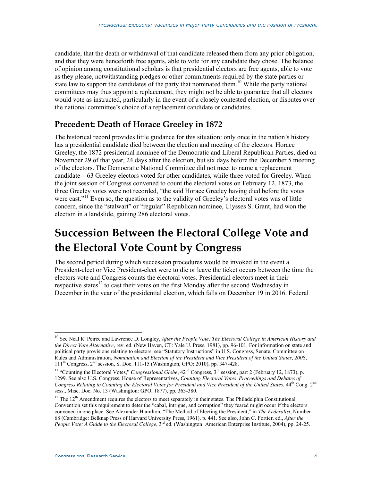candidate, that the death or withdrawal of that candidate released them from any prior obligation, and that they were henceforth free agents, able to vote for any candidate they chose. The balance of opinion among constitutional scholars is that presidential electors are free agents, able to vote as they please, notwithstanding pledges or other commitments required by the state parties or state law to support the candidates of the party that nominated them.<sup>10</sup> While the party national committees may thus appoint a replacement, they might not be able to guarantee that all electors would vote as instructed, particularly in the event of a closely contested election, or disputes over the national committee's choice of a replacement candidate or candidates.

#### **Precedent: Death of Horace Greeley in 1872**

The historical record provides little guidance for this situation: only once in the nation's history has a presidential candidate died between the election and meeting of the electors. Horace Greeley, the 1872 presidential nominee of the Democratic and Liberal Republican Parties, died on November 29 of that year, 24 days after the election, but six days before the December 5 meeting of the electors. The Democratic National Committee did not meet to name a replacement candidate—63 Greeley electors voted for other candidates, while three voted for Greeley. When the joint session of Congress convened to count the electoral votes on February 12, 1873, the three Greeley votes were not recorded, "the said Horace Greeley having died before the votes were cast."<sup>11</sup> Even so, the question as to the validity of Greeley's electoral votes was of little concern, since the "stalwart" or "regular" Republican nominee, Ulysses S. Grant, had won the election in a landslide, gaining 286 electoral votes.

### **Succession Between the Electoral College Vote and the Electoral Vote Count by Congress**

The second period during which succession procedures would be invoked in the event a President-elect or Vice President-elect were to die or leave the ticket occurs between the time the electors vote and Congress counts the electoral votes. Presidential electors meet in their respective states<sup>12</sup> to cast their votes on the first Monday after the second Wednesday in December in the year of the presidential election, which falls on December 19 in 2016. Federal

<sup>&</sup>lt;sup>10</sup> See Neal R. Peirce and Lawrence D. Longley, After the People Vote: The Electoral College in American History and *the Direct Vote Alternative*, rev. ed. (New Haven, CT: Yale U. Press, 1981), pp. 96-101. For information on state and political party provisions relating to electors, see "Statutory Instructions" in U.S. Congress, Senate, Committee on Rules and Administration, *Nomination and Election of the President and Vice President of the United States, 2008*, 111th Congress, 2nd session, S. Doc. 111-15 (Washington, GPO: 2010), pp. 347-428.

<sup>&</sup>lt;sup>11</sup> "Counting the Electoral Votes," *Congressional Globe*, 42<sup>nd</sup> Congress, 3<sup>rd</sup> session, part 2 (February 12, 1873), p. 1299. See also U.S. Congress, House of Representatives, *Counting Electoral Votes. Proceedings and Debates of Congress Relating to Counting the Electoral Votes for President and Vice President of the United States*, 44<sup>th</sup> Cong. 2<sup>nd</sup> sess., Misc. Doc. No. 13 (Washington: GPO, 1877), pp. 363-380.

<sup>&</sup>lt;sup>12</sup> The  $12<sup>th</sup>$  Amendment requires the electors to meet separately in their states. The Philadelphia Constitutional Convention set this requirement to deter the "cabal, intrigue, and corruption" they feared might occur if the electors convened in one place. See Alexander Hamilton, "The Method of Electing the President," in *The Federalist*, Number 68 (Cambridge: Belknap Press of Harvard University Press, 1961), p. 441. See also, John C. Fortier, ed., *After the People Vote: A Guide to the Electoral College*, 3<sup>rd</sup> ed. (Washington: American Enterprise Institute, 2004), pp. 24-25.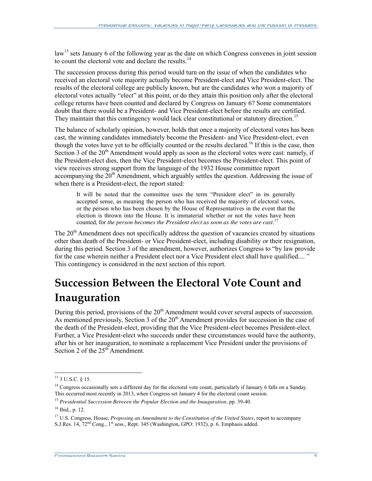law<sup>13</sup> sets January 6 of the following year as the date on which Congress convenes in joint session to count the electoral vote and declare the results.<sup>14</sup>

The succession process during this period would turn on the issue of when the candidates who received an electoral vote majority actually become President-elect and Vice President-elect. The results of the electoral college are publicly known, but are the candidates who won a majority of electoral votes actually "elect" at this point, or do they attain this position only after the electoral college returns have been counted and declared by Congress on January 6? Some commentators doubt that there would be a President- and Vice President-elect before the results are certified. They maintain that this contingency would lack clear constitutional or statutory direction.<sup>15</sup>

The balance of scholarly opinion, however, holds that once a majority of electoral votes has been cast, the winning candidates immediately become the President- and Vice President-elect, even though the votes have yet to be officially counted or the results declared.<sup>16</sup> If this is the case, then Section 3 of the  $20<sup>th</sup>$  Amendment would apply as soon as the electoral votes were cast: namely, if the President-elect dies, then the Vice President-elect becomes the President-elect. This point of view receives strong support from the language of the 1932 House committee report accompanying the  $20<sup>th</sup>$  Amendment, which arguably settles the question. Addressing the issue of when there is a President-elect, the report stated:

It will be noted that the committee uses the term "President elect" in its generally accepted sense, as meaning the person who has received the majority of electoral votes, or the person who has been chosen by the House of Representatives in the event that the election is thrown into the House. It is immaterial whether or not the votes have been counted, for *the person becomes the President elect as soon as the votes are cast*. 17

The  $20<sup>th</sup>$  Amendment does not specifically address the question of vacancies created by situations other than death of the President- or Vice President-elect, including disability or their resignation, during this period. Section 3 of the amendment, however, authorizes Congress to "by law provide for the case wherein neither a President elect nor a Vice President elect shall have qualified.... " This contingency is considered in the next section of this report.

### **Succession Between the Electoral Vote Count and Inauguration**

During this period, provisions of the  $20<sup>th</sup>$  Amendment would cover several aspects of succession. As mentioned previously, Section 3 of the  $20<sup>th</sup>$  Amendment provides for succession in the case of the death of the President-elect, providing that the Vice President-elect becomes President-elect. Further, a Vice President-elect who succeeds under these circumstances would have the authority, after his or her inauguration, to nominate a replacement Vice President under the provisions of Section 2 of the  $25<sup>th</sup>$  Amendment.

Congressional Research Service 5 (5) Service 5 (5) Service 5 (5) Service 5 (5) Service 5 (5) Service 5 (5) Service 5 (5) Service 5 (5) Service 5 (5) Service 5 (5) Service 5 (5) Service 5 (5) Service 5 (5) Service 5 (5) Ser

 <sup>13</sup> 3 U.S.C. § 15.

 $<sup>14</sup>$  Congress occasionally sets a different day for the electoral vote count, particularly if January 6 falls on a Sunday.</sup> This occurred most recently in 2013, when Congress set January 4 for the electoral count session.

<sup>15</sup> *Presidential Succession Between the Popular Election and the Inauguration*, pp. 39-40.

<sup>16</sup> Ibid., p. 12.

<sup>17</sup> U.S. Congress, House, *Proposing an Amendment to the Constitution of the United States*, report to accompany S.J.Res. 14, 72<sup>nd</sup> Cong., 1<sup>st</sup> sess., Rept. 345 (Washington, GPO: 1932), p. 6. Emphasis added.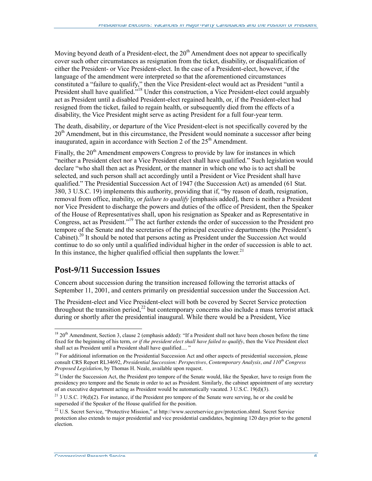Moving beyond death of a President-elect, the 20<sup>th</sup> Amendment does not appear to specifically cover such other circumstances as resignation from the ticket, disability, or disqualification of either the President- or Vice President-elect. In the case of a President-elect, however, if the language of the amendment were interpreted so that the aforementioned circumstances constituted a "failure to qualify," then the Vice President-elect would act as President "until a President shall have qualified.<sup>"18</sup> Under this construction, a Vice President-elect could arguably act as President until a disabled President-elect regained health, or, if the President-elect had resigned from the ticket, failed to regain health, or subsequently died from the effects of a disability, the Vice President might serve as acting President for a full four-year term.

The death, disability, or departure of the Vice President-elect is not specifically covered by the  $20<sup>th</sup>$  Amendment, but in this circumstance, the President would nominate a successor after being inaugurated, again in accordance with Section 2 of the  $25<sup>th</sup>$  Amendment.

Finally, the  $20<sup>th</sup>$  Amendment empowers Congress to provide by law for instances in which "neither a President elect nor a Vice President elect shall have qualified." Such legislation would declare "who shall then act as President, or the manner in which one who is to act shall be selected, and such person shall act accordingly until a President or Vice President shall have qualified." The Presidential Succession Act of 1947 (the Succession Act) as amended (61 Stat. 380, 3 U.S.C. 19) implements this authority, providing that if, "by reason of death, resignation, removal from office, inability, or *failure to qualify* [emphasis added], there is neither a President nor Vice President to discharge the powers and duties of the office of President, then the Speaker of the House of Representatives shall, upon his resignation as Speaker and as Representative in Congress, act as President."<sup>19</sup> The act further extends the order of succession to the President pro tempore of the Senate and the secretaries of the principal executive departments (the President's Cabinet).<sup>20</sup> It should be noted that persons acting as President under the Succession Act would continue to do so only until a qualified individual higher in the order of succession is able to act. In this instance, the higher qualified official then supplants the lower.<sup>21</sup>

#### **Post-9/11 Succession Issues**

Concern about succession during the transition increased following the terrorist attacks of September 11, 2001, and centers primarily on presidential succession under the Succession Act.

The President-elect and Vice President-elect will both be covered by Secret Service protection throughout the transition period,<sup>22</sup> but contemporary concerns also include a mass terrorist attack during or shortly after the presidential inaugural. While there would be a President, Vice

 $18\,20$ <sup>th</sup> Amendment, Section 3, clause 2 (emphasis added): "If a President shall not have been chosen before the time fixed for the beginning of his term, *or if the president elect shall have failed to qualify*, then the Vice President elect shall act as President until a President shall have qualified.... "

<sup>&</sup>lt;sup>19</sup> For additional information on the Presidential Succession Act and other aspects of presidential succession, please consult CRS Report RL34692, *Presidential Succession: Perspectives, Contemporary Analysis, and 110th Congress Proposed Legislation*, by Thomas H. Neale, available upon request.

<sup>&</sup>lt;sup>20</sup> Under the Succession Act, the President pro tempore of the Senate would, like the Speaker, have to resign from the presidency pro tempore and the Senate in order to act as President. Similarly, the cabinet appointment of any secretary of an executive department acting as President would be automatically vacated. 3 U.S.C. 19(d)(3).

<sup>&</sup>lt;sup>21</sup> 3 U.S.C. 19(d)(2). For instance, if the President pro tempore of the Senate were serving, he or she could be superseded if the Speaker of the House qualified for the position.

<sup>&</sup>lt;sup>22</sup> U.S. Secret Service, "Protective Mission," at http://www.secretservice.gov/protection.shtml. Secret Service protection also extends to major presidential and vice presidential candidates, beginning 120 days prior to the general election.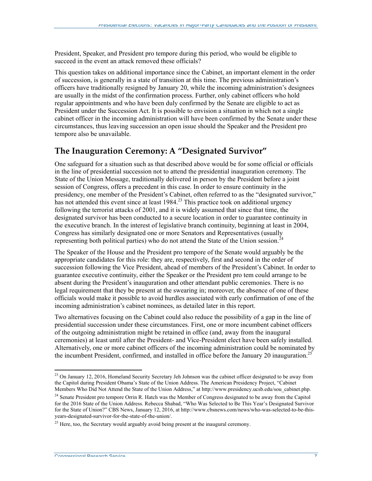President, Speaker, and President pro tempore during this period, who would be eligible to succeed in the event an attack removed these officials?

This question takes on additional importance since the Cabinet, an important element in the order of succession, is generally in a state of transition at this time. The previous administration's officers have traditionally resigned by January 20, while the incoming administration's designees are usually in the midst of the confirmation process. Further, only cabinet officers who hold regular appointments and who have been duly confirmed by the Senate are eligible to act as President under the Succession Act. It is possible to envision a situation in which not a single cabinet officer in the incoming administration will have been confirmed by the Senate under these circumstances, thus leaving succession an open issue should the Speaker and the President pro tempore also be unavailable.

#### **The Inauguration Ceremony: A "Designated Survivor"**

One safeguard for a situation such as that described above would be for some official or officials in the line of presidential succession not to attend the presidential inauguration ceremony. The State of the Union Message, traditionally delivered in person by the President before a joint session of Congress, offers a precedent in this case. In order to ensure continuity in the presidency, one member of the President's Cabinet, often referred to as the "designated survivor," has not attended this event since at least  $1984.<sup>23</sup>$  This practice took on additional urgency following the terrorist attacks of 2001, and it is widely assumed that since that time, the designated survivor has been conducted to a secure location in order to guarantee continuity in the executive branch. In the interest of legislative branch continuity, beginning at least in 2004, Congress has similarly designated one or more Senators and Representatives (usually representing both political parties) who do not attend the State of the Union session.<sup>2</sup>

The Speaker of the House and the President pro tempore of the Senate would arguably be the appropriate candidates for this role: they are, respectively, first and second in the order of succession following the Vice President, ahead of members of the President's Cabinet. In order to guarantee executive continuity, either the Speaker or the President pro tem could arrange to be absent during the President's inauguration and other attendant public ceremonies. There is no legal requirement that they be present at the swearing in; moreover, the absence of one of these officials would make it possible to avoid hurdles associated with early confirmation of one of the incoming administration's cabinet nominees, as detailed later in this report.

Two alternatives focusing on the Cabinet could also reduce the possibility of a gap in the line of presidential succession under these circumstances. First, one or more incumbent cabinet officers of the outgoing administration might be retained in office (and, away from the inaugural ceremonies) at least until after the President- and Vice-President elect have been safely installed. Alternatively, one or more cabinet officers of the incoming administration could be nominated by the incumbent President, confirmed, and installed in office before the January 20 inauguration.<sup>25</sup>

<sup>&</sup>lt;sup>23</sup> On January 12, 2016, Homeland Security Secretary Jeh Johnson was the cabinet officer designated to be away from the Capitol during President Obama's State of the Union Address. The American Presidency Project, "Cabinet Members Who Did Not Attend the State of the Union Address," at http://www.presidency.ucsb.edu/sou\_cabinet.php.

<sup>&</sup>lt;sup>24</sup> Senate President pro tempore Orrin R. Hatch was the Member of Congress designated to be away from the Capitol for the 2016 State of the Union Address. Rebecca Shabad, "Who Was Selected to Be This Year's Designated Survivor for the State of Union?" CBS News, January 12, 2016, at http://www.cbsnews.com/news/who-was-selected-to-be-thisyears-designated-survivor-for-the-state-of-the-union/.

 $^{25}$  Here, too, the Secretary would arguably avoid being present at the inaugural ceremony.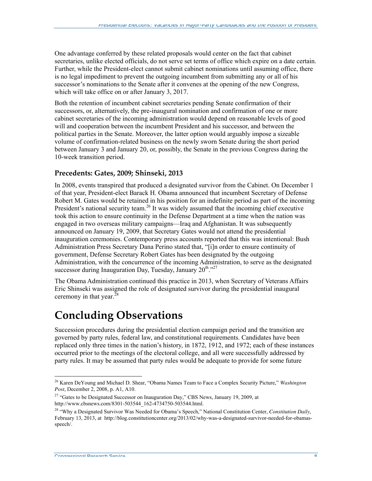One advantage conferred by these related proposals would center on the fact that cabinet secretaries, unlike elected officials, do not serve set terms of office which expire on a date certain. Further, while the President-elect cannot submit cabinet nominations until assuming office, there is no legal impediment to prevent the outgoing incumbent from submitting any or all of his successor's nominations to the Senate after it convenes at the opening of the new Congress, which will take office on or after January 3, 2017.

Both the retention of incumbent cabinet secretaries pending Senate confirmation of their successors, or, alternatively, the pre-inaugural nomination and confirmation of one or more cabinet secretaries of the incoming administration would depend on reasonable levels of good will and cooperation between the incumbent President and his successor, and between the political parties in the Senate. Moreover, the latter option would arguably impose a sizeable volume of confirmation-related business on the newly sworn Senate during the short period between January 3 and January 20, or, possibly, the Senate in the previous Congress during the 10-week transition period.

#### **Precedents: Gates, 2009; Shinseki, 2013**

In 2008, events transpired that produced a designated survivor from the Cabinet. On December 1 of that year, President-elect Barack H. Obama announced that incumbent Secretary of Defense Robert M. Gates would be retained in his position for an indefinite period as part of the incoming President's national security team.<sup>26</sup> It was widely assumed that the incoming chief executive took this action to ensure continuity in the Defense Department at a time when the nation was engaged in two overseas military campaigns—Iraq and Afghanistan. It was subsequently announced on January 19, 2009, that Secretary Gates would not attend the presidential inauguration ceremonies. Contemporary press accounts reported that this was intentional: Bush Administration Press Secretary Dana Perino stated that, "[i]n order to ensure continuity of government, Defense Secretary Robert Gates has been designated by the outgoing Administration, with the concurrence of the incoming Administration, to serve as the designated successor during Inauguration Day, Tuesday, January  $20^{th}$ .<sup>27</sup>

The Obama Administration continued this practice in 2013, when Secretary of Veterans Affairs Eric Shinseki was assigned the role of designated survivor during the presidential inaugural ceremony in that year. $^{28}$ 

### **Concluding Observations**

Succession procedures during the presidential election campaign period and the transition are governed by party rules, federal law, and constitutional requirements. Candidates have been replaced only three times in the nation's history, in 1872, 1912, and 1972; each of these instances occurred prior to the meetings of the electoral college, and all were successfully addressed by party rules. It may be assumed that party rules would be adequate to provide for some future

 <sup>26</sup> Karen DeYoung and Michael D. Shear, "Obama Names Team to Face a Complex Security Picture," *Washington Post*, December 2, 2008, p. A1, A10.

<sup>&</sup>lt;sup>27</sup> "Gates to be Designated Successor on Inauguration Day," CBS News, January 19, 2009, at http://www.cbsnews.com/8301-503544\_162-4734750-503544.html.

<sup>28</sup> "Why a Designated Survivor Was Needed for Obama's Speech," National Constitution Center, *Constitution Daily*, February 13, 2013, at http://blog.constitutioncenter.org/2013/02/why-was-a-designated-survivor-needed-for-obamasspeech/.